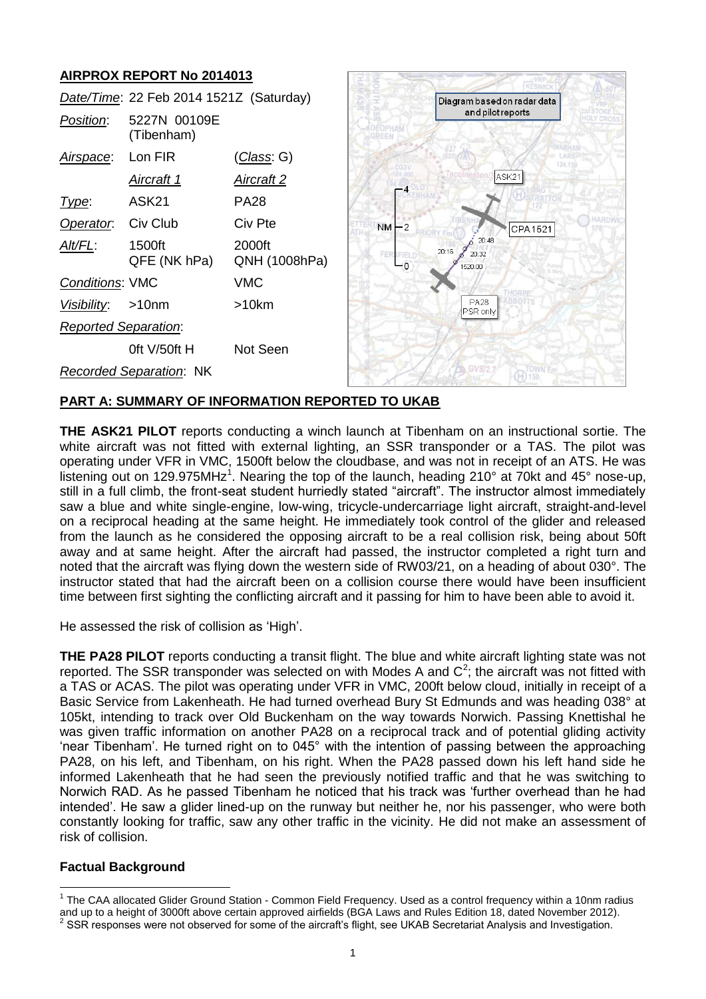# **AIRPROX REPORT No 2014013**

|                             | Date/Time: 22 Feb 2014 1521Z (Saturday) |                         |                 | Diagram based on radar data        |  |
|-----------------------------|-----------------------------------------|-------------------------|-----------------|------------------------------------|--|
| Position:                   | 5227N 00109E<br>(Tibenham)              |                         |                 | and pilot reports                  |  |
| Airspace:                   | Lon FIR                                 | <u>(Class</u> : G)      |                 | 124.15                             |  |
|                             | Aircraft 1                              | <u>Aircraft 2</u>       |                 | ASK21                              |  |
| Type:                       | ASK <sub>21</sub>                       | <b>PA28</b>             |                 |                                    |  |
| Operator.                   | Civ Club                                | Civ Pte                 | $NM - 2$        | CPA1521                            |  |
| Alt/FL:                     | 1500ft<br>QFE (NK hPa)                  | 2000ft<br>QNH (1008hPa) | FERSFIELD<br>-0 | 20:48<br>20:16<br>20:32<br>1520:00 |  |
| <b>Conditions: VMC</b>      |                                         | <b>VMC</b>              |                 |                                    |  |
| Visibility:                 | >10 <sub>nm</sub>                       | $>10$ km                |                 | <b>PA28</b><br>PSR only            |  |
| <b>Reported Separation:</b> |                                         |                         |                 |                                    |  |
|                             | Oft $V/50$ ft H                         | Not Seen                |                 |                                    |  |
|                             | <b>Recorded Separation: NK</b>          |                         |                 | <b>SA GVS72.7</b>                  |  |

## **PART A: SUMMARY OF INFORMATION REPORTED TO UKAB**

**THE ASK21 PILOT** reports conducting a winch launch at Tibenham on an instructional sortie. The white aircraft was not fitted with external lighting, an SSR transponder or a TAS. The pilot was operating under VFR in VMC, 1500ft below the cloudbase, and was not in receipt of an ATS. He was listening out on 129.975MHz<sup>1</sup>. Nearing the top of the launch, heading 210° at 70kt and 45° nose-up, still in a full climb, the front-seat student hurriedly stated "aircraft". The instructor almost immediately saw a blue and white single-engine, low-wing, tricycle-undercarriage light aircraft, straight-and-level on a reciprocal heading at the same height. He immediately took control of the glider and released from the launch as he considered the opposing aircraft to be a real collision risk, being about 50ft away and at same height. After the aircraft had passed, the instructor completed a right turn and noted that the aircraft was flying down the western side of RW03/21, on a heading of about 030°. The instructor stated that had the aircraft been on a collision course there would have been insufficient time between first sighting the conflicting aircraft and it passing for him to have been able to avoid it.

He assessed the risk of collision as 'High'.

**THE PA28 PILOT** reports conducting a transit flight. The blue and white aircraft lighting state was not reported. The SSR transponder was selected on with Modes A and  $C^2$ ; the aircraft was not fitted with a TAS or ACAS. The pilot was operating under VFR in VMC, 200ft below cloud, initially in receipt of a Basic Service from Lakenheath. He had turned overhead Bury St Edmunds and was heading 038° at 105kt, intending to track over Old Buckenham on the way towards Norwich. Passing Knettishal he was given traffic information on another PA28 on a reciprocal track and of potential gliding activity 'near Tibenham'. He turned right on to 045° with the intention of passing between the approaching PA28, on his left, and Tibenham, on his right. When the PA28 passed down his left hand side he informed Lakenheath that he had seen the previously notified traffic and that he was switching to Norwich RAD. As he passed Tibenham he noticed that his track was 'further overhead than he had intended'. He saw a glider lined-up on the runway but neither he, nor his passenger, who were both constantly looking for traffic, saw any other traffic in the vicinity. He did not make an assessment of risk of collision.

## **Factual Background**

 $\overline{a}$ 

<sup>&</sup>lt;sup>1</sup> The CAA allocated Glider Ground Station - Common Field Frequency. Used as a control frequency within a 10nm radius and up to a height of 3000ft above certain approved airfields (BGA Laws and Rules Edition 18, dated November 2012).<br><sup>2</sup> SSB responses were not absented for some of the eirerafi's flight, see UKAB Secretariat Anglysis and I

SSR responses were not observed for some of the aircraft's flight, see UKAB Secretariat Analysis and Investigation.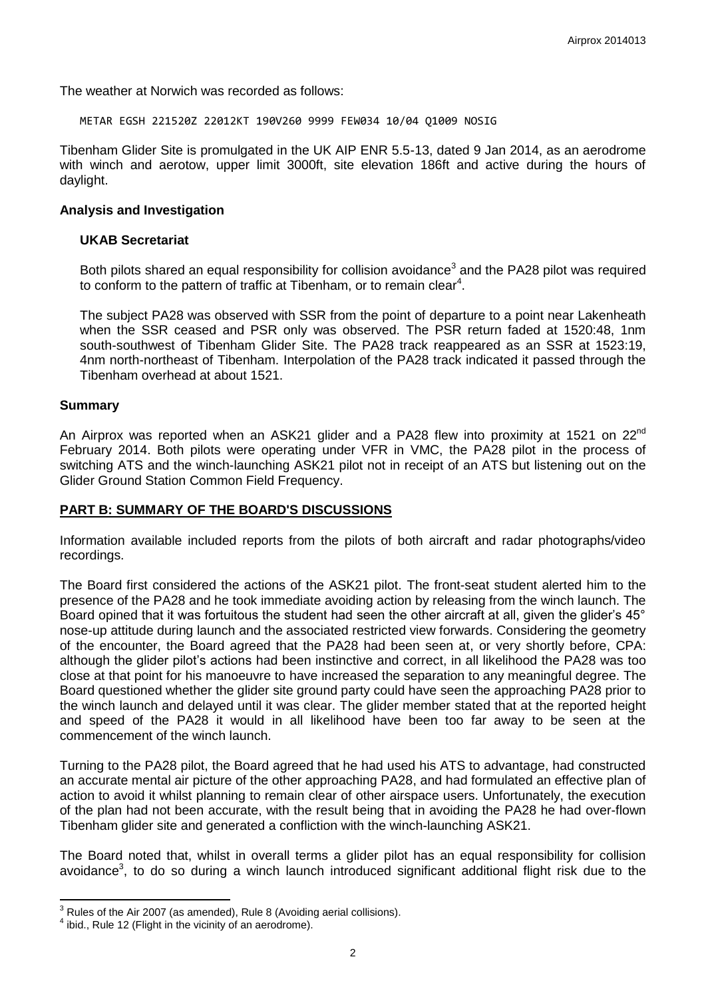The weather at Norwich was recorded as follows:

METAR EGSH 221520Z 22012KT 190V260 9999 FEW034 10/04 Q1009 NOSIG

Tibenham Glider Site is promulgated in the UK AIP ENR 5.5-13, dated 9 Jan 2014, as an aerodrome with winch and aerotow, upper limit 3000ft, site elevation 186ft and active during the hours of daylight.

#### **Analysis and Investigation**

#### **UKAB Secretariat**

<span id="page-1-0"></span>Both pilots shared an equal responsibility for collision avoidance<sup>3</sup> and the PA28 pilot was required to conform to the pattern of traffic at Tibenham, or to remain clear<sup>4</sup>.

The subject PA28 was observed with SSR from the point of departure to a point near Lakenheath when the SSR ceased and PSR only was observed. The PSR return faded at 1520:48, 1nm south-southwest of Tibenham Glider Site. The PA28 track reappeared as an SSR at 1523:19, 4nm north-northeast of Tibenham. Interpolation of the PA28 track indicated it passed through the Tibenham overhead at about 1521.

#### **Summary**

 $\overline{\phantom{a}}$ 

An Airprox was reported when an ASK21 glider and a PA28 flew into proximity at 1521 on 22<sup>nd</sup> February 2014. Both pilots were operating under VFR in VMC, the PA28 pilot in the process of switching ATS and the winch-launching ASK21 pilot not in receipt of an ATS but listening out on the Glider Ground Station Common Field Frequency.

#### **PART B: SUMMARY OF THE BOARD'S DISCUSSIONS**

Information available included reports from the pilots of both aircraft and radar photographs/video recordings.

The Board first considered the actions of the ASK21 pilot. The front-seat student alerted him to the presence of the PA28 and he took immediate avoiding action by releasing from the winch launch. The Board opined that it was fortuitous the student had seen the other aircraft at all, given the glider's 45° nose-up attitude during launch and the associated restricted view forwards. Considering the geometry of the encounter, the Board agreed that the PA28 had been seen at, or very shortly before, CPA: although the glider pilot's actions had been instinctive and correct, in all likelihood the PA28 was too close at that point for his manoeuvre to have increased the separation to any meaningful degree. The Board questioned whether the glider site ground party could have seen the approaching PA28 prior to the winch launch and delayed until it was clear. The glider member stated that at the reported height and speed of the PA28 it would in all likelihood have been too far away to be seen at the commencement of the winch launch.

Turning to the PA28 pilot, the Board agreed that he had used his ATS to advantage, had constructed an accurate mental air picture of the other approaching PA28, and had formulated an effective plan of action to avoid it whilst planning to remain clear of other airspace users. Unfortunately, the execution of the plan had not been accurate, with the result being that in avoiding the PA28 he had over-flown Tibenham glider site and generated a confliction with the winch-launching ASK21.

The Board noted that, whilst in overall terms a glider pilot has an equal responsibility for collision avoidance<sup>3</sup>[,](#page-1-0) to do so during a winch launch introduced significant additional flight risk due to the

 $3$  Rules of the Air 2007 (as amended), Rule 8 (Avoiding aerial collisions).

 $4$  ibid., Rule 12 (Flight in the vicinity of an aerodrome).